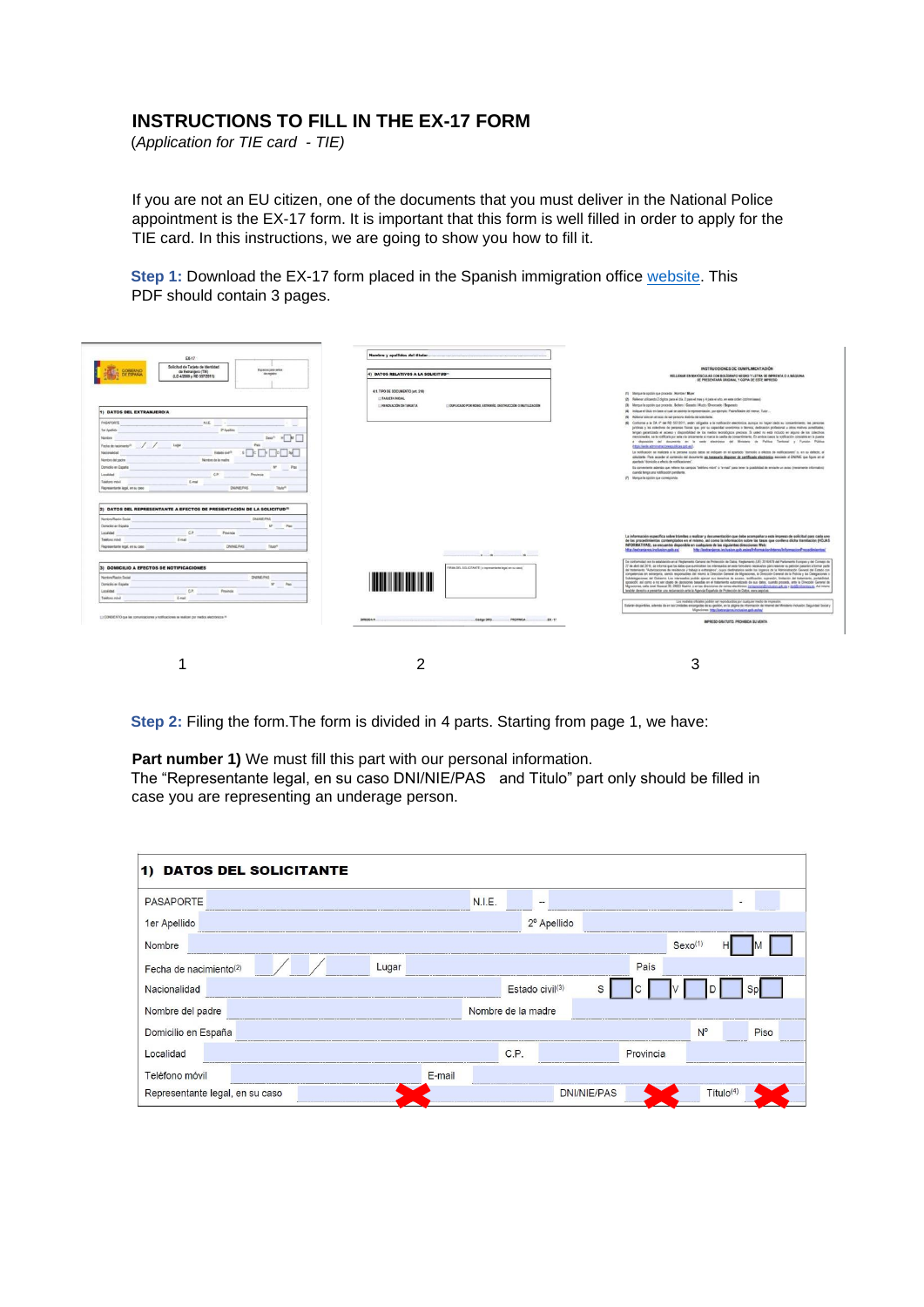## **INSTRUCTIONS TO FILL IN THE EX-17 FORM**

(*Application for TIE card - TIE)* 

If you are not an EU citizen, one of the documents that you must deliver in the National Police appointment is the EX-17 form. It is important that this form is well filled in order to apply for the TIE card. In this instructions, we are going to show you how to fill it.

**Step 1:** Download the EX-17 form placed in the Spanish immigration office [website.](mailto:http://extranjeros.inclusion.gob.es/es/ModelosSolicitudes/Mod_solicitudes2/index.html) This PDF should contain 3 pages.

| EX-17                                                                                                                                                                                                                                                                                                                                                                                                                   | Nombre y apellides del titular                                                          |                                                                                                                                                                                                                                                                                                                                                                                                                                                                                                                                                                                                                                                                                                                                                                                                                                                                                                                                                                                                                                                                                                                                                                                                                                                                                                                                                                                                                                                                                                                                                                                                                                                                                                          |
|-------------------------------------------------------------------------------------------------------------------------------------------------------------------------------------------------------------------------------------------------------------------------------------------------------------------------------------------------------------------------------------------------------------------------|-----------------------------------------------------------------------------------------|----------------------------------------------------------------------------------------------------------------------------------------------------------------------------------------------------------------------------------------------------------------------------------------------------------------------------------------------------------------------------------------------------------------------------------------------------------------------------------------------------------------------------------------------------------------------------------------------------------------------------------------------------------------------------------------------------------------------------------------------------------------------------------------------------------------------------------------------------------------------------------------------------------------------------------------------------------------------------------------------------------------------------------------------------------------------------------------------------------------------------------------------------------------------------------------------------------------------------------------------------------------------------------------------------------------------------------------------------------------------------------------------------------------------------------------------------------------------------------------------------------------------------------------------------------------------------------------------------------------------------------------------------------------------------------------------------------|
| Solicitud de Tarjeta de Identidad<br>Equator pate seles<br>OBIERNO<br>de Extranjero (TIE)<br><b>FORMA</b><br>de mastro                                                                                                                                                                                                                                                                                                  | 4) DATOS RELATIVOS A LA SOLICITUD <sup>®</sup>                                          | INSTRUCCIONES DE CUMPLIMENTACIÓN                                                                                                                                                                                                                                                                                                                                                                                                                                                                                                                                                                                                                                                                                                                                                                                                                                                                                                                                                                                                                                                                                                                                                                                                                                                                                                                                                                                                                                                                                                                                                                                                                                                                         |
| (LO 4/2000 y RD 557/2011)                                                                                                                                                                                                                                                                                                                                                                                               |                                                                                         | RELLENAR EN MAYÚSCULAS CON BOLÍGRAFO NEGRO Y LETRA DE IMPRENTA O A MÁQUINA<br>SE PRESENTARÁ ORIGINAL Y COPIA DE ESTE IMPRESO                                                                                                                                                                                                                                                                                                                                                                                                                                                                                                                                                                                                                                                                                                                                                                                                                                                                                                                                                                                                                                                                                                                                                                                                                                                                                                                                                                                                                                                                                                                                                                             |
|                                                                                                                                                                                                                                                                                                                                                                                                                         | 4.1. TIPO DE DOCUMENTO (art. 210)                                                       | (1) Margue la spolan que proceda "Rombre / Mujer"                                                                                                                                                                                                                                                                                                                                                                                                                                                                                                                                                                                                                                                                                                                                                                                                                                                                                                                                                                                                                                                                                                                                                                                                                                                                                                                                                                                                                                                                                                                                                                                                                                                        |
|                                                                                                                                                                                                                                                                                                                                                                                                                         | <b>ELEARATEA INICIAL</b>                                                                | (2) Relievar stillzando 2 digitos para el día, 2 para el mes y 4 para el año, en esta orden (ddimeviasas)                                                                                                                                                                                                                                                                                                                                                                                                                                                                                                                                                                                                                                                                                                                                                                                                                                                                                                                                                                                                                                                                                                                                                                                                                                                                                                                                                                                                                                                                                                                                                                                                |
|                                                                                                                                                                                                                                                                                                                                                                                                                         | LI RENOVACIÓN DE TARJETA<br>ETOUPLICADO POR ROBO, EXTRAVÍO, DESTRUCCIÓN O INUTILIZACIÓN | (3) Marque la opción que proceda. Scharo / Casado / Wudo / Divorciado / Separado                                                                                                                                                                                                                                                                                                                                                                                                                                                                                                                                                                                                                                                                                                                                                                                                                                                                                                                                                                                                                                                                                                                                                                                                                                                                                                                                                                                                                                                                                                                                                                                                                         |
| 1) DATOS DEL EXTRANJEROJA                                                                                                                                                                                                                                                                                                                                                                                               |                                                                                         | (4) Indigue el titulo en base al cual se osterta la representación, por ejemplo: PadreMadre del menor, Tutor                                                                                                                                                                                                                                                                                                                                                                                                                                                                                                                                                                                                                                                                                                                                                                                                                                                                                                                                                                                                                                                                                                                                                                                                                                                                                                                                                                                                                                                                                                                                                                                             |
| PASAPORTE                                                                                                                                                                                                                                                                                                                                                                                                               |                                                                                         | (5) Referral sitio an of case de ser persona distinta del solicitante.<br>(6) Conforme a la DA 4° del RD 5572011, están obligados a la notificación electrónica, aurope no foyan dedo su consentimiento, las pensoras                                                                                                                                                                                                                                                                                                                                                                                                                                                                                                                                                                                                                                                                                                                                                                                                                                                                                                                                                                                                                                                                                                                                                                                                                                                                                                                                                                                                                                                                                    |
| NIE -                                                                                                                                                                                                                                                                                                                                                                                                                   |                                                                                         | jurídicas y los colectivos de personas físicas que, por su capacidad económica o lácrica, dedicación profesional y otros motivos acreditados.                                                                                                                                                                                                                                                                                                                                                                                                                                                                                                                                                                                                                                                                                                                                                                                                                                                                                                                                                                                                                                                                                                                                                                                                                                                                                                                                                                                                                                                                                                                                                            |
| <b>1er Apelloto</b><br><sup>24</sup> Apellido                                                                                                                                                                                                                                                                                                                                                                           |                                                                                         | tengan gerantizado el acceso y disponibilidad de los medios tecnológicos precisos. Si usted no está incluido en alguno de los colectivos                                                                                                                                                                                                                                                                                                                                                                                                                                                                                                                                                                                                                                                                                                                                                                                                                                                                                                                                                                                                                                                                                                                                                                                                                                                                                                                                                                                                                                                                                                                                                                 |
| Nordes                                                                                                                                                                                                                                                                                                                                                                                                                  |                                                                                         | menocrados, se le rotificará por esta via pricamente si marce la casifia de consentimento. En ambos casos la notificación consistra en la puesta<br>a deposition del documento en la sede electrónica del Ministerio de Política Tentonal y Función Pública                                                                                                                                                                                                                                                                                                                                                                                                                                                                                                                                                                                                                                                                                                                                                                                                                                                                                                                                                                                                                                                                                                                                                                                                                                                                                                                                                                                                                                              |
| Fecha de tecimiento <sup>2</sup>                                                                                                                                                                                                                                                                                                                                                                                        |                                                                                         | OEpa Fands administrations publicas and each                                                                                                                                                                                                                                                                                                                                                                                                                                                                                                                                                                                                                                                                                                                                                                                                                                                                                                                                                                                                                                                                                                                                                                                                                                                                                                                                                                                                                                                                                                                                                                                                                                                             |
| Estado civil <sup>3</sup><br>Nacionaldad                                                                                                                                                                                                                                                                                                                                                                                |                                                                                         | La notificación se realizará a la persona cuvos datos se religioses en el apartado "domició a efectos de notificaciones" o, en su defecto, al                                                                                                                                                                                                                                                                                                                                                                                                                                                                                                                                                                                                                                                                                                                                                                                                                                                                                                                                                                                                                                                                                                                                                                                                                                                                                                                                                                                                                                                                                                                                                            |
| Nointire de la madre<br>Numbre del padre                                                                                                                                                                                                                                                                                                                                                                                |                                                                                         | solicitaria. Para acoster al contenido del Documento es necesario disponer de certificado electrónico asociado al CNINE que figure en el<br>apartado "domicilio a efecto de notificaciones".                                                                                                                                                                                                                                                                                                                                                                                                                                                                                                                                                                                                                                                                                                                                                                                                                                                                                                                                                                                                                                                                                                                                                                                                                                                                                                                                                                                                                                                                                                             |
| Domicilio en España<br>w<br>Pac                                                                                                                                                                                                                                                                                                                                                                                         |                                                                                         | Es convenierte adentés que reliene los campos "teléfono móvi" o "e-mai" qura tener la posibilidad de enviarte un aviso interamente informativol                                                                                                                                                                                                                                                                                                                                                                                                                                                                                                                                                                                                                                                                                                                                                                                                                                                                                                                                                                                                                                                                                                                                                                                                                                                                                                                                                                                                                                                                                                                                                          |
| CP.<br>Penalestia                                                                                                                                                                                                                                                                                                                                                                                                       |                                                                                         | cuando tenga una notificación pendente.                                                                                                                                                                                                                                                                                                                                                                                                                                                                                                                                                                                                                                                                                                                                                                                                                                                                                                                                                                                                                                                                                                                                                                                                                                                                                                                                                                                                                                                                                                                                                                                                                                                                  |
| Localidad                                                                                                                                                                                                                                                                                                                                                                                                               |                                                                                         | (7) Marque la oppide que commoporda                                                                                                                                                                                                                                                                                                                                                                                                                                                                                                                                                                                                                                                                                                                                                                                                                                                                                                                                                                                                                                                                                                                                                                                                                                                                                                                                                                                                                                                                                                                                                                                                                                                                      |
| E-mail<br>Telefono mbvli<br><b>DIANEPAS</b><br>That <sup>4</sup>                                                                                                                                                                                                                                                                                                                                                        |                                                                                         |                                                                                                                                                                                                                                                                                                                                                                                                                                                                                                                                                                                                                                                                                                                                                                                                                                                                                                                                                                                                                                                                                                                                                                                                                                                                                                                                                                                                                                                                                                                                                                                                                                                                                                          |
| Representante legal, en su caso                                                                                                                                                                                                                                                                                                                                                                                         |                                                                                         |                                                                                                                                                                                                                                                                                                                                                                                                                                                                                                                                                                                                                                                                                                                                                                                                                                                                                                                                                                                                                                                                                                                                                                                                                                                                                                                                                                                                                                                                                                                                                                                                                                                                                                          |
| <b>CHANGIPAS</b>                                                                                                                                                                                                                                                                                                                                                                                                        |                                                                                         |                                                                                                                                                                                                                                                                                                                                                                                                                                                                                                                                                                                                                                                                                                                                                                                                                                                                                                                                                                                                                                                                                                                                                                                                                                                                                                                                                                                                                                                                                                                                                                                                                                                                                                          |
| Page<br><b>NO. I</b><br>cp.<br>Penancia                                                                                                                                                                                                                                                                                                                                                                                 |                                                                                         |                                                                                                                                                                                                                                                                                                                                                                                                                                                                                                                                                                                                                                                                                                                                                                                                                                                                                                                                                                                                                                                                                                                                                                                                                                                                                                                                                                                                                                                                                                                                                                                                                                                                                                          |
| Email                                                                                                                                                                                                                                                                                                                                                                                                                   |                                                                                         |                                                                                                                                                                                                                                                                                                                                                                                                                                                                                                                                                                                                                                                                                                                                                                                                                                                                                                                                                                                                                                                                                                                                                                                                                                                                                                                                                                                                                                                                                                                                                                                                                                                                                                          |
| <b>DNAMEPAS</b><br>Thán <sup>4</sup>                                                                                                                                                                                                                                                                                                                                                                                    |                                                                                         | INFORMATIVAS), se encuentra disponible en cualquiera de las siguientes direcciones Web:<br>http://extranjeroa.inclusion.gob.es/                                                                                                                                                                                                                                                                                                                                                                                                                                                                                                                                                                                                                                                                                                                                                                                                                                                                                                                                                                                                                                                                                                                                                                                                                                                                                                                                                                                                                                                                                                                                                                          |
|                                                                                                                                                                                                                                                                                                                                                                                                                         | $-40 -$                                                                                 |                                                                                                                                                                                                                                                                                                                                                                                                                                                                                                                                                                                                                                                                                                                                                                                                                                                                                                                                                                                                                                                                                                                                                                                                                                                                                                                                                                                                                                                                                                                                                                                                                                                                                                          |
|                                                                                                                                                                                                                                                                                                                                                                                                                         |                                                                                         |                                                                                                                                                                                                                                                                                                                                                                                                                                                                                                                                                                                                                                                                                                                                                                                                                                                                                                                                                                                                                                                                                                                                                                                                                                                                                                                                                                                                                                                                                                                                                                                                                                                                                                          |
|                                                                                                                                                                                                                                                                                                                                                                                                                         | FIRMA DEL SOLICITANTE (o representante legal, en su caso)                               |                                                                                                                                                                                                                                                                                                                                                                                                                                                                                                                                                                                                                                                                                                                                                                                                                                                                                                                                                                                                                                                                                                                                                                                                                                                                                                                                                                                                                                                                                                                                                                                                                                                                                                          |
| <b>DNAMEPAS</b>                                                                                                                                                                                                                                                                                                                                                                                                         |                                                                                         |                                                                                                                                                                                                                                                                                                                                                                                                                                                                                                                                                                                                                                                                                                                                                                                                                                                                                                                                                                                                                                                                                                                                                                                                                                                                                                                                                                                                                                                                                                                                                                                                                                                                                                          |
| $^{56}$<br>Page                                                                                                                                                                                                                                                                                                                                                                                                         |                                                                                         |                                                                                                                                                                                                                                                                                                                                                                                                                                                                                                                                                                                                                                                                                                                                                                                                                                                                                                                                                                                                                                                                                                                                                                                                                                                                                                                                                                                                                                                                                                                                                                                                                                                                                                          |
|                                                                                                                                                                                                                                                                                                                                                                                                                         |                                                                                         |                                                                                                                                                                                                                                                                                                                                                                                                                                                                                                                                                                                                                                                                                                                                                                                                                                                                                                                                                                                                                                                                                                                                                                                                                                                                                                                                                                                                                                                                                                                                                                                                                                                                                                          |
| CP.<br>Provincia                                                                                                                                                                                                                                                                                                                                                                                                        |                                                                                         | tendide derecho a presentar una reclamación ante la Agencia Española de Protección de Datos, www.aepd.es.                                                                                                                                                                                                                                                                                                                                                                                                                                                                                                                                                                                                                                                                                                                                                                                                                                                                                                                                                                                                                                                                                                                                                                                                                                                                                                                                                                                                                                                                                                                                                                                                |
| Email                                                                                                                                                                                                                                                                                                                                                                                                                   |                                                                                         | Lis models chicales podder ser recroducións por qualquier medio de impresión.                                                                                                                                                                                                                                                                                                                                                                                                                                                                                                                                                                                                                                                                                                                                                                                                                                                                                                                                                                                                                                                                                                                                                                                                                                                                                                                                                                                                                                                                                                                                                                                                                            |
|                                                                                                                                                                                                                                                                                                                                                                                                                         |                                                                                         | La información específica sobre trámites a realizar y documentación que debe acompañar a este impreso de solicitud para cada uno<br>de los procedimientos conterrolados en el mismo, así como la información sobre las tasas que conlleva dicha tramitación (HOJAS<br>http://extranjeros.inclusion.gob.es/es/nformacioninteres/informacion#rocedimientos/<br>De conformidad con lo establecido en el Regianterito Ceneral de Protección de Datos, Regiantento 3,81 3016/679 del Parlamento Europeo y del Conseio de<br>27 de abril del 2016, se informa que los datos que suministren los interesados an este formularlo necesarios para resolver su petición pasarán a formar parte<br>del tratamento "Autorzaciones da residencia y trabajo a extrargens", cujos diretinatarios serán los órganos de la Administración General del Estado con<br>competencies en extranseria, sando responsables del marzo la Dirección General de Migracones, la Dirección General de la Policia y las Delegaciones o<br>Subdeteractiones del Gobierno Los Interesados podrão electro que denotivo de acoreo recificación, supresión, limitación del tratamiento, portabilidad.<br>sposición, así como a no ser objeto de decisiones basadas en el todamiento automatizado de sus datos, cuando procede, ante la Dirección General de<br>Mgraciones, calle José Abascal 39, 28003 Madrid, o en las direcciones de convo electrónico (progracional) inclusivo outure y continuitavo ex es Asi mano<br>Estação disportêns, adentão de en las Disdades encarcadas de su pedión, en la oádina de información de Interné del Ministerio Inclusión, Secundad Society<br>Migraciones: http://extransame.inclusion.gob.es/es/ |
|                                                                                                                                                                                                                                                                                                                                                                                                                         |                                                                                         |                                                                                                                                                                                                                                                                                                                                                                                                                                                                                                                                                                                                                                                                                                                                                                                                                                                                                                                                                                                                                                                                                                                                                                                                                                                                                                                                                                                                                                                                                                                                                                                                                                                                                                          |
|                                                                                                                                                                                                                                                                                                                                                                                                                         | <b>DIRECIDA A</b><br>Cédige DIR1<br>PROVINCIA<br>$-8X - 17$                             | IMPRESO GRATUITO, PROHIBIDA SU VENTA                                                                                                                                                                                                                                                                                                                                                                                                                                                                                                                                                                                                                                                                                                                                                                                                                                                                                                                                                                                                                                                                                                                                                                                                                                                                                                                                                                                                                                                                                                                                                                                                                                                                     |
|                                                                                                                                                                                                                                                                                                                                                                                                                         |                                                                                         |                                                                                                                                                                                                                                                                                                                                                                                                                                                                                                                                                                                                                                                                                                                                                                                                                                                                                                                                                                                                                                                                                                                                                                                                                                                                                                                                                                                                                                                                                                                                                                                                                                                                                                          |
|                                                                                                                                                                                                                                                                                                                                                                                                                         |                                                                                         |                                                                                                                                                                                                                                                                                                                                                                                                                                                                                                                                                                                                                                                                                                                                                                                                                                                                                                                                                                                                                                                                                                                                                                                                                                                                                                                                                                                                                                                                                                                                                                                                                                                                                                          |
|                                                                                                                                                                                                                                                                                                                                                                                                                         |                                                                                         |                                                                                                                                                                                                                                                                                                                                                                                                                                                                                                                                                                                                                                                                                                                                                                                                                                                                                                                                                                                                                                                                                                                                                                                                                                                                                                                                                                                                                                                                                                                                                                                                                                                                                                          |
|                                                                                                                                                                                                                                                                                                                                                                                                                         |                                                                                         |                                                                                                                                                                                                                                                                                                                                                                                                                                                                                                                                                                                                                                                                                                                                                                                                                                                                                                                                                                                                                                                                                                                                                                                                                                                                                                                                                                                                                                                                                                                                                                                                                                                                                                          |
| 2) DATOS DEL REPRESENTANTE A EFECTOS DE PRESENTACIÓN DE LA SOLICITUD <sup>31</sup><br>Nombra Razón Social<br>Domicilio en España<br>Location<br>Telefons movil<br>Representante legal, en su caso<br>3) DOMICILIO A EFECTOS DE NOTIFICACIONES<br>Northw Roche Social<br>Domición en España<br>Localidad<br>Taiahna rulul<br>L'OCASENTO que las comunicaciones y notificaciones se realizen por medios electrónicos (fi- | ົ                                                                                       | p                                                                                                                                                                                                                                                                                                                                                                                                                                                                                                                                                                                                                                                                                                                                                                                                                                                                                                                                                                                                                                                                                                                                                                                                                                                                                                                                                                                                                                                                                                                                                                                                                                                                                                        |

**Step 2:** Filing the form.The form is divided in 4 parts. Starting from page 1, we have:

**Part number 1)** We must fill this part with our personal information.

The "Representante legal, en su caso DNI/NIE/PAS and Titulo" part only should be filled in case you are representing an underage person.

| 1) DATOS DEL SOLICITANTE                    |        |                    |                 |                          |                    |           |                     |                          |      |
|---------------------------------------------|--------|--------------------|-----------------|--------------------------|--------------------|-----------|---------------------|--------------------------|------|
| <b>PASAPORTE</b>                            |        | N.I.E.             |                 | $\overline{\phantom{a}}$ |                    |           |                     | $\overline{\phantom{a}}$ |      |
| 1er Apellido                                |        |                    |                 | 2º Apellido              |                    |           |                     |                          |      |
| Nombre                                      |        |                    |                 |                          |                    |           | Sexo <sup>(1)</sup> | н                        |      |
| Lugar<br>Fecha de nacimiento <sup>(2)</sup> |        |                    |                 |                          |                    | País      |                     |                          |      |
| Nacionalidad                                |        |                    | Estado civil(3) |                          | S                  |           |                     |                          | Sp   |
| Nombre del padre                            |        | Nombre de la madre |                 |                          |                    |           |                     |                          |      |
| Domicilio en España                         |        |                    |                 |                          |                    |           | $N^{\circ}$         |                          | Piso |
| Localidad                                   |        |                    | C.P.            |                          |                    | Provincia |                     |                          |      |
| Teléfono móvil                              | E-mail |                    |                 |                          |                    |           |                     |                          |      |
| Representante legal, en su caso             |        |                    |                 |                          | <b>DNI/NIE/PAS</b> |           |                     | Titulo <sup>(4)</sup>    |      |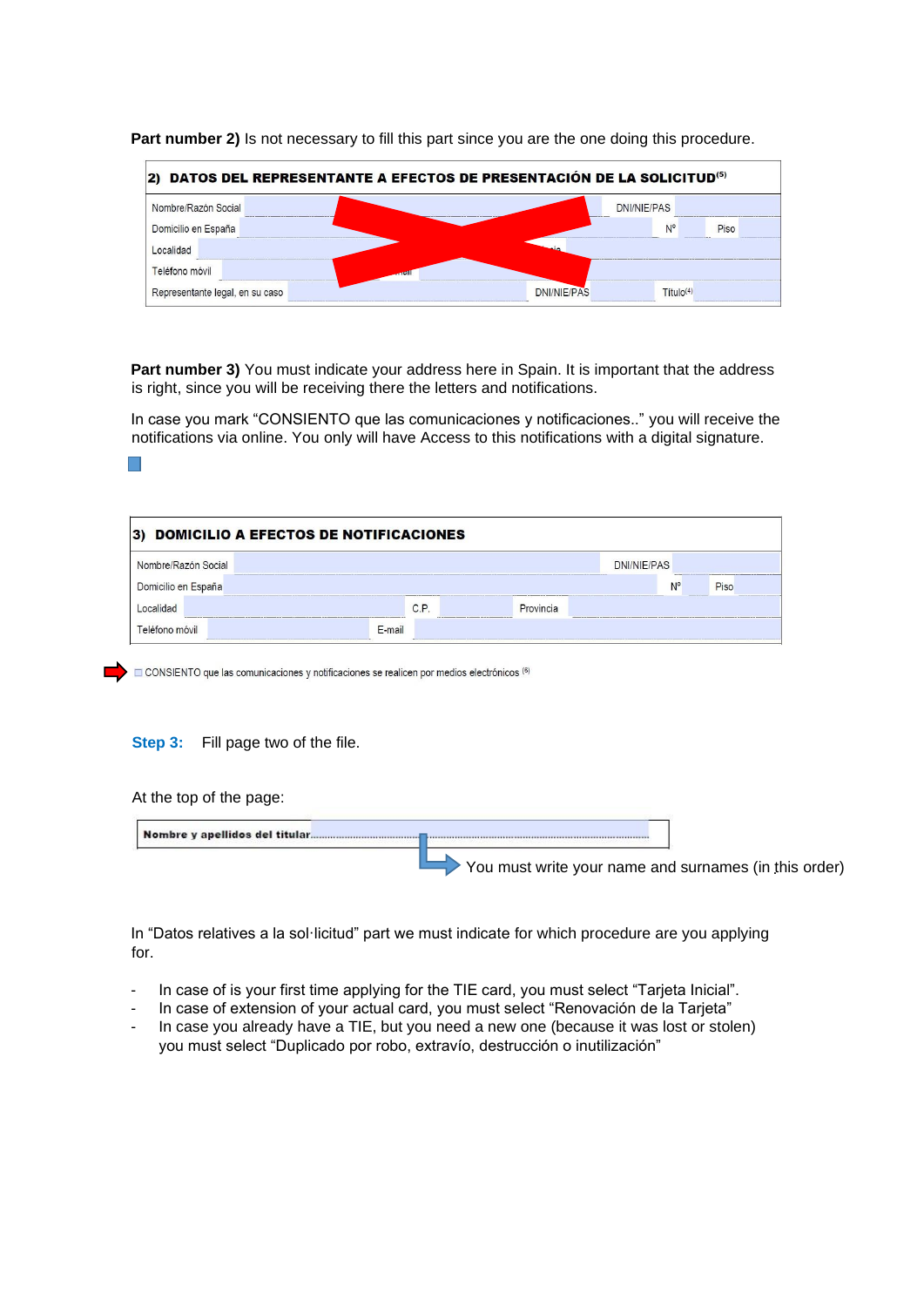| 2) DATOS DEL REPRESENTANTE A EFECTOS DE PRESENTACIÓN DE LA SOLICITUD <sup>(5)</sup> |                                             |  |  |  |  |  |  |  |
|-------------------------------------------------------------------------------------|---------------------------------------------|--|--|--|--|--|--|--|
| Nombre/Razón Social                                                                 | DNI/NIE/PAS                                 |  |  |  |  |  |  |  |
| Domicilio en España                                                                 | N°<br>Piso                                  |  |  |  |  |  |  |  |
| Localidad                                                                           |                                             |  |  |  |  |  |  |  |
| Teléfono móvil<br><b>Second</b>                                                     |                                             |  |  |  |  |  |  |  |
| Representante legal, en su caso                                                     | <b>DNI/NIE/PAS</b><br>Titulo <sup>(4)</sup> |  |  |  |  |  |  |  |

**Part number 2)** Is not necessary to fill this part since you are the one doing this procedure.

**Part number 3)** You must indicate your address here in Spain. It is important that the address is right, since you will be receiving there the letters and notifications.

In case you mark "CONSIENTO que las comunicaciones y notificaciones.." you will receive the notifications via online. You only will have Access to this notifications with a digital signature.

| DOMICILIO A EFECTOS DE NOTIFICACIONES<br>3) |        |      |                                                                  |             |      |  |  |  |
|---------------------------------------------|--------|------|------------------------------------------------------------------|-------------|------|--|--|--|
| Nombre/Razón Social                         |        |      |                                                                  | DNI/NIE/PAS |      |  |  |  |
| Domicilio en España                         |        |      |                                                                  | N°          | Piso |  |  |  |
|                                             |        | C.P. | Provincia<br>THE R P. LEWIS CO., LANSING, MICH. 49-14039-1-120-2 |             |      |  |  |  |
| Teléfono móvil                              | E-mail |      |                                                                  |             |      |  |  |  |

CONSIENTO que las comunicaciones y notificaciones se realicen por medios electrónicos (6)

## **Step 3:** Fill page two of the file.

At the top of the page:

|  | You must write your name and surnames (in this order) |  |
|--|-------------------------------------------------------|--|

In "Datos relatives a la sol·licitud" part we must indicate for which procedure are you applying for.

- In case of is your first time applying for the TIE card, you must select "Tarjeta Inicial".
- In case of extension of your actual card, you must select "Renovación de la Tarjeta"
- In case you already have a TIE, but you need a new one (because it was lost or stolen) you must select "Duplicado por robo, extravío, destrucción o inutilización"